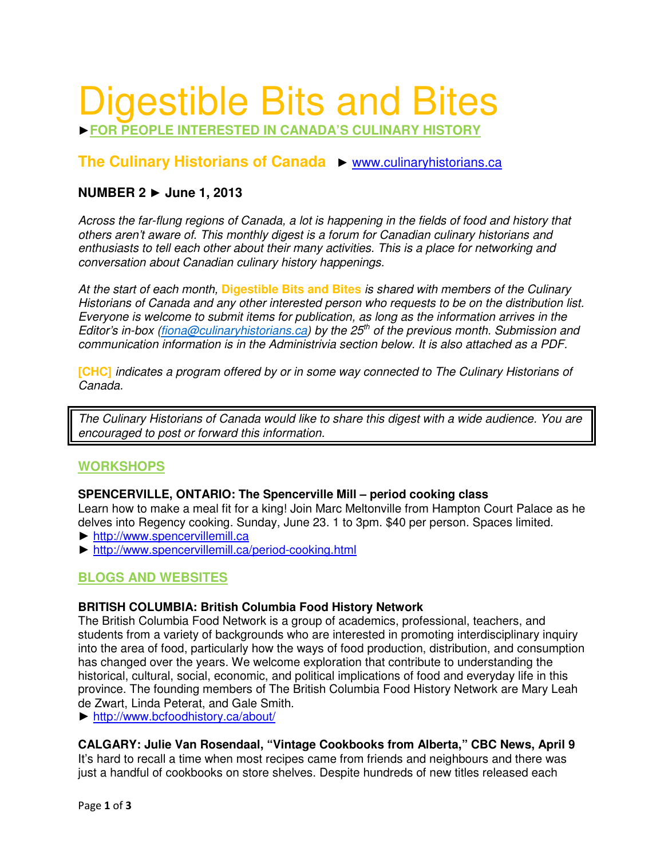# Digestible Bits and Bites

►**FOR PEOPLE INTERESTED IN CANADA'S CULINARY HISTORY**

# **The Culinary Historians of Canada** ► www.culinaryhistorians.ca

# **NUMBER 2** ► **June 1, 2013**

Across the far-flung regions of Canada, a lot is happening in the fields of food and history that others aren't aware of. This monthly digest is a forum for Canadian culinary historians and enthusiasts to tell each other about their many activities. This is a place for networking and conversation about Canadian culinary history happenings.

At the start of each month, **Digestible Bits and Bites** is shared with members of the Culinary Historians of Canada and any other interested person who requests to be on the distribution list. Everyone is welcome to submit items for publication, as long as the information arrives in the Editor's in-box (fiona@culinaryhistorians.ca) by the 25<sup>th</sup> of the previous month. Submission and communication information is in the Administrivia section below. It is also attached as a PDF.

**[CHC]** indicates a program offered by or in some way connected to The Culinary Historians of Canada.

The Culinary Historians of Canada would like to share this digest with a wide audience. You are encouraged to post or forward this information.

## **WORKSHOPS**

#### **SPENCERVILLE, ONTARIO: The Spencerville Mill – period cooking class**

Learn how to make a meal fit for a king! Join Marc Meltonville from Hampton Court Palace as he delves into Regency cooking. Sunday, June 23. 1 to 3pm. \$40 per person. Spaces limited.

- ► http://www.spencervillemill.ca
- ► http://www.spencervillemill.ca/period-cooking.html

## **BLOGS AND WEBSITES**

#### **BRITISH COLUMBIA: British Columbia Food History Network**

The British Columbia Food Network is a group of academics, professional, teachers, and students from a variety of backgrounds who are interested in promoting interdisciplinary inquiry into the area of food, particularly how the ways of food production, distribution, and consumption has changed over the years. We welcome exploration that contribute to understanding the historical, cultural, social, economic, and political implications of food and everyday life in this province. The founding members of The British Columbia Food History Network are Mary Leah de Zwart, Linda Peterat, and Gale Smith.

► http://www.bcfoodhistory.ca/about/

## **CALGARY: Julie Van Rosendaal, "Vintage Cookbooks from Alberta," CBC News, April 9**

It's hard to recall a time when most recipes came from friends and neighbours and there was just a handful of cookbooks on store shelves. Despite hundreds of new titles released each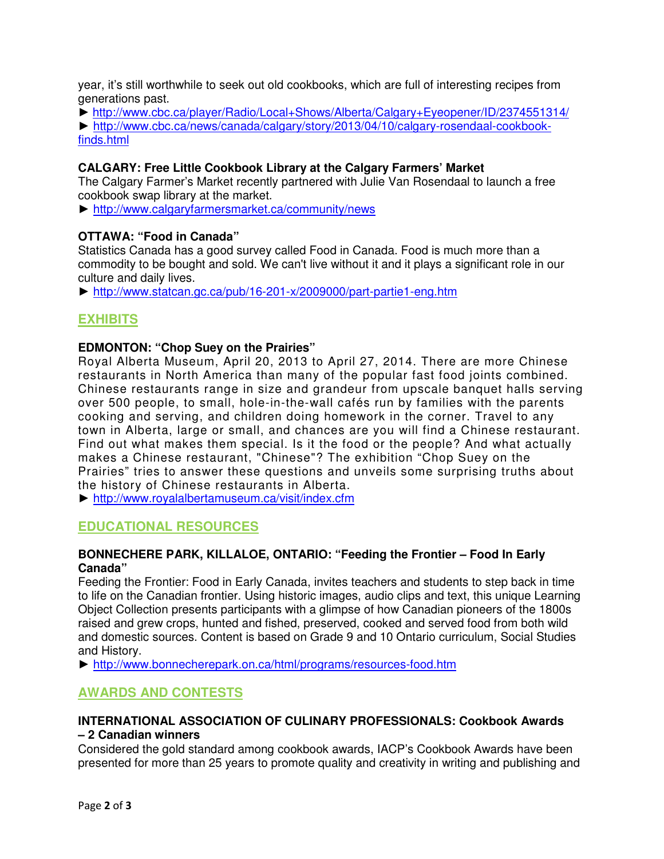year, it's still worthwhile to seek out old cookbooks, which are full of interesting recipes from generations past.

► http://www.cbc.ca/player/Radio/Local+Shows/Alberta/Calgary+Eyeopener/ID/2374551314/ ► http://www.cbc.ca/news/canada/calgary/story/2013/04/10/calgary-rosendaal-cookbookfinds.html

## **CALGARY: Free Little Cookbook Library at the Calgary Farmers' Market**

The Calgary Farmer's Market recently partnered with Julie Van Rosendaal to launch a free cookbook swap library at the market.

► http://www.calgaryfarmersmarket.ca/community/news

## **OTTAWA: "Food in Canada"**

Statistics Canada has a good survey called Food in Canada. Food is much more than a commodity to be bought and sold. We can't live without it and it plays a significant role in our culture and daily lives.

► http://www.statcan.gc.ca/pub/16-201-x/2009000/part-partie1-eng.htm

# **EXHIBITS**

### **EDMONTON: "Chop Suey on the Prairies"**

Royal Alberta Museum, April 20, 2013 to April 27, 2014. There are more Chinese restaurants in North America than many of the popular fast food joints combined. Chinese restaurants range in size and grandeur from upscale banquet halls serving over 500 people, to small, hole-in-the-wall cafés run by families with the parents cooking and serving, and children doing homework in the corner. Travel to any town in Alberta, large or small, and chances are you will find a Chinese restaurant. Find out what makes them special. Is it the food or the people? And what actually makes a Chinese restaurant, "Chinese"? The exhibition "Chop Suey on the Prairies" tries to answer these questions and unveils some surprising truths about the history of Chinese restaurants in Alberta.

► http://www.royalalbertamuseum.ca/visit/index.cfm

# **EDUCATIONAL RESOURCES**

#### **BONNECHERE PARK, KILLALOE, ONTARIO: "Feeding the Frontier – Food In Early Canada"**

Feeding the Frontier: Food in Early Canada, invites teachers and students to step back in time to life on the Canadian frontier. Using historic images, audio clips and text, this unique Learning Object Collection presents participants with a glimpse of how Canadian pioneers of the 1800s raised and grew crops, hunted and fished, preserved, cooked and served food from both wild and domestic sources. Content is based on Grade 9 and 10 Ontario curriculum, Social Studies and History.

► http://www.bonnecherepark.on.ca/html/programs/resources-food.htm

## **AWARDS AND CONTESTS**

### **INTERNATIONAL ASSOCIATION OF CULINARY PROFESSIONALS: Cookbook Awards – 2 Canadian winners**

Considered the gold standard among cookbook awards, IACP's Cookbook Awards have been presented for more than 25 years to promote quality and creativity in writing and publishing and